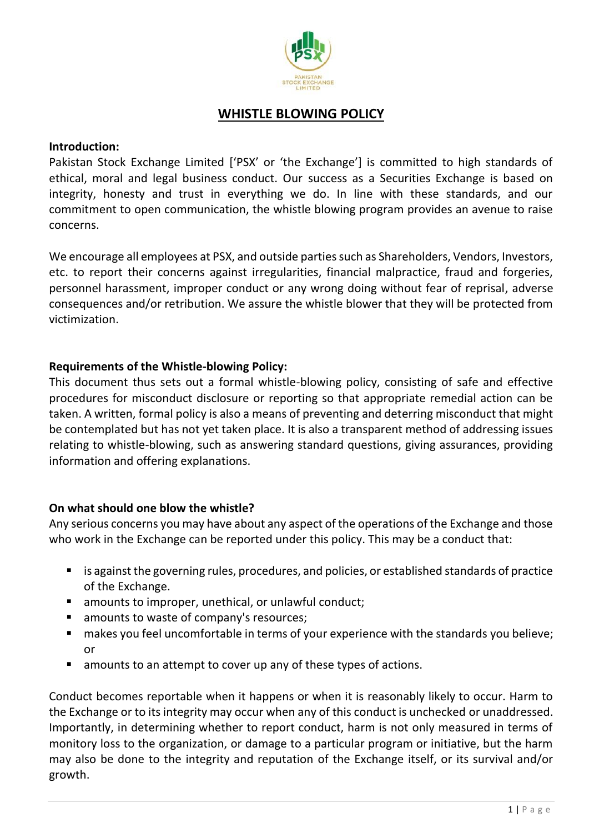

# **WHISTLE BLOWING POLICY**

#### **Introduction:**

Pakistan Stock Exchange Limited ['PSX' or 'the Exchange'] is committed to high standards of ethical, moral and legal business conduct. Our success as a Securities Exchange is based on integrity, honesty and trust in everything we do. In line with these standards, and our commitment to open communication, the whistle blowing program provides an avenue to raise concerns.

We encourage all employees at PSX, and outside parties such as Shareholders, Vendors, Investors, etc. to report their concerns against irregularities, financial malpractice, fraud and forgeries, personnel harassment, improper conduct or any wrong doing without fear of reprisal, adverse consequences and/or retribution. We assure the whistle blower that they will be protected from victimization.

#### **Requirements of the Whistle-blowing Policy:**

This document thus sets out a formal whistle-blowing policy, consisting of safe and effective procedures for misconduct disclosure or reporting so that appropriate remedial action can be taken. A written, formal policy is also a means of preventing and deterring misconduct that might be contemplated but has not yet taken place. It is also a transparent method of addressing issues relating to whistle-blowing, such as answering standard questions, giving assurances, providing information and offering explanations.

#### **On what should one blow the whistle?**

Any serious concerns you may have about any aspect of the operations of the Exchange and those who work in the Exchange can be reported under this policy. This may be a conduct that:

- is against the governing rules, procedures, and policies, or established standards of practice of the Exchange.
- amounts to improper, unethical, or unlawful conduct:
- amounts to waste of company's resources;
- makes you feel uncomfortable in terms of your experience with the standards you believe; or
- **E** amounts to an attempt to cover up any of these types of actions.

Conduct becomes reportable when it happens or when it is reasonably likely to occur. Harm to the Exchange or to its integrity may occur when any of this conduct is unchecked or unaddressed. Importantly, in determining whether to report conduct, harm is not only measured in terms of monitory loss to the organization, or damage to a particular program or initiative, but the harm may also be done to the integrity and reputation of the Exchange itself, or its survival and/or growth.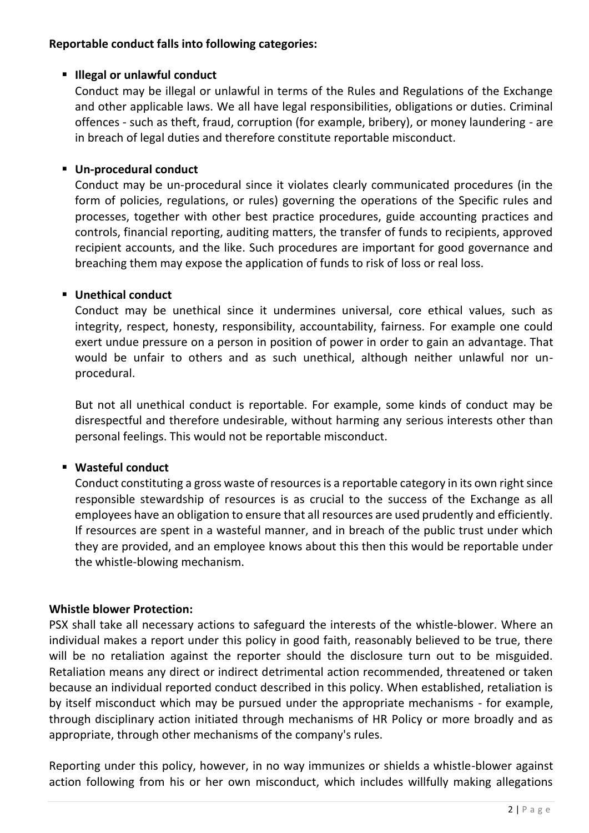## **Reportable conduct falls into following categories:**

## **Illegal or unlawful conduct**

Conduct may be illegal or unlawful in terms of the Rules and Regulations of the Exchange and other applicable laws. We all have legal responsibilities, obligations or duties. Criminal offences - such as theft, fraud, corruption (for example, bribery), or money laundering - are in breach of legal duties and therefore constitute reportable misconduct.

## **Un-procedural conduct**

Conduct may be un-procedural since it violates clearly communicated procedures (in the form of policies, regulations, or rules) governing the operations of the Specific rules and processes, together with other best practice procedures, guide accounting practices and controls, financial reporting, auditing matters, the transfer of funds to recipients, approved recipient accounts, and the like. Such procedures are important for good governance and breaching them may expose the application of funds to risk of loss or real loss.

### **Unethical conduct**

Conduct may be unethical since it undermines universal, core ethical values, such as integrity, respect, honesty, responsibility, accountability, fairness. For example one could exert undue pressure on a person in position of power in order to gain an advantage. That would be unfair to others and as such unethical, although neither unlawful nor unprocedural.

But not all unethical conduct is reportable. For example, some kinds of conduct may be disrespectful and therefore undesirable, without harming any serious interests other than personal feelings. This would not be reportable misconduct.

# **Wasteful conduct**

Conduct constituting a gross waste of resources is a reportable category in its own right since responsible stewardship of resources is as crucial to the success of the Exchange as all employees have an obligation to ensure that all resources are used prudently and efficiently. If resources are spent in a wasteful manner, and in breach of the public trust under which they are provided, and an employee knows about this then this would be reportable under the whistle-blowing mechanism.

# **Whistle blower Protection:**

PSX shall take all necessary actions to safeguard the interests of the whistle-blower. Where an individual makes a report under this policy in good faith, reasonably believed to be true, there will be no retaliation against the reporter should the disclosure turn out to be misguided. Retaliation means any direct or indirect detrimental action recommended, threatened or taken because an individual reported conduct described in this policy. When established, retaliation is by itself misconduct which may be pursued under the appropriate mechanisms - for example, through disciplinary action initiated through mechanisms of HR Policy or more broadly and as appropriate, through other mechanisms of the company's rules.

Reporting under this policy, however, in no way immunizes or shields a whistle-blower against action following from his or her own misconduct, which includes willfully making allegations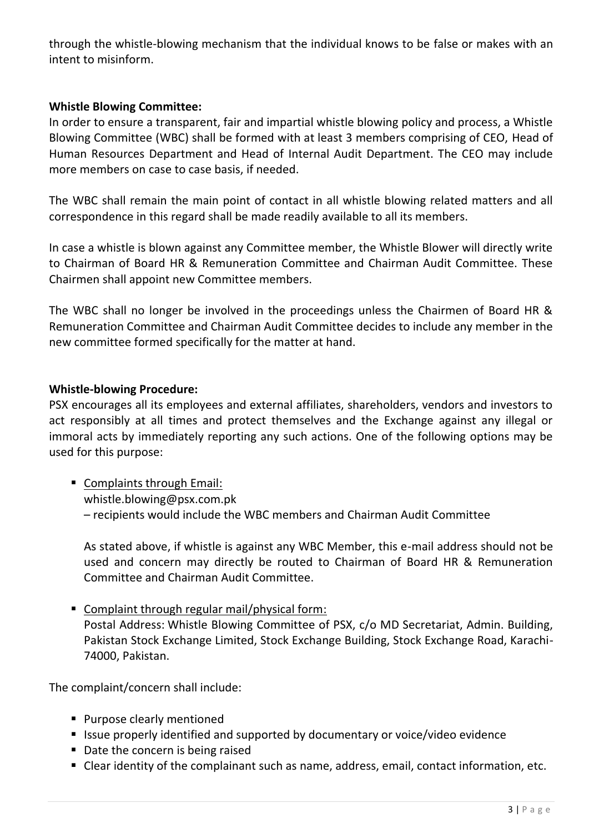through the whistle-blowing mechanism that the individual knows to be false or makes with an intent to misinform.

## **Whistle Blowing Committee:**

In order to ensure a transparent, fair and impartial whistle blowing policy and process, a Whistle Blowing Committee (WBC) shall be formed with at least 3 members comprising of CEO, Head of Human Resources Department and Head of Internal Audit Department. The CEO may include more members on case to case basis, if needed.

The WBC shall remain the main point of contact in all whistle blowing related matters and all correspondence in this regard shall be made readily available to all its members.

In case a whistle is blown against any Committee member, the Whistle Blower will directly write to Chairman of Board HR & Remuneration Committee and Chairman Audit Committee. These Chairmen shall appoint new Committee members.

The WBC shall no longer be involved in the proceedings unless the Chairmen of Board HR & Remuneration Committee and Chairman Audit Committee decides to include any member in the new committee formed specifically for the matter at hand.

### **Whistle-blowing Procedure:**

PSX encourages all its employees and external affiliates, shareholders, vendors and investors to act responsibly at all times and protect themselves and the Exchange against any illegal or immoral acts by immediately reporting any such actions. One of the following options may be used for this purpose:

 Complaints through Email: [whistle.blowing@psx.com.pk](mailto:whistle.blowing@psx.com.pk) – recipients would include the WBC members and Chairman Audit Committee

As stated above, if whistle is against any WBC Member, this e-mail address should not be used and concern may directly be routed to Chairman of Board HR & Remuneration Committee and Chairman Audit Committee.

■ Complaint through regular mail/physical form: Postal Address: Whistle Blowing Committee of PSX, c/o MD Secretariat, Admin. Building, Pakistan Stock Exchange Limited, Stock Exchange Building, Stock Exchange Road, Karachi-74000, Pakistan.

The complaint/concern shall include:

- **Purpose clearly mentioned**
- Issue properly identified and supported by documentary or voice/video evidence
- Date the concern is being raised
- Clear identity of the complainant such as name, address, email, contact information, etc.